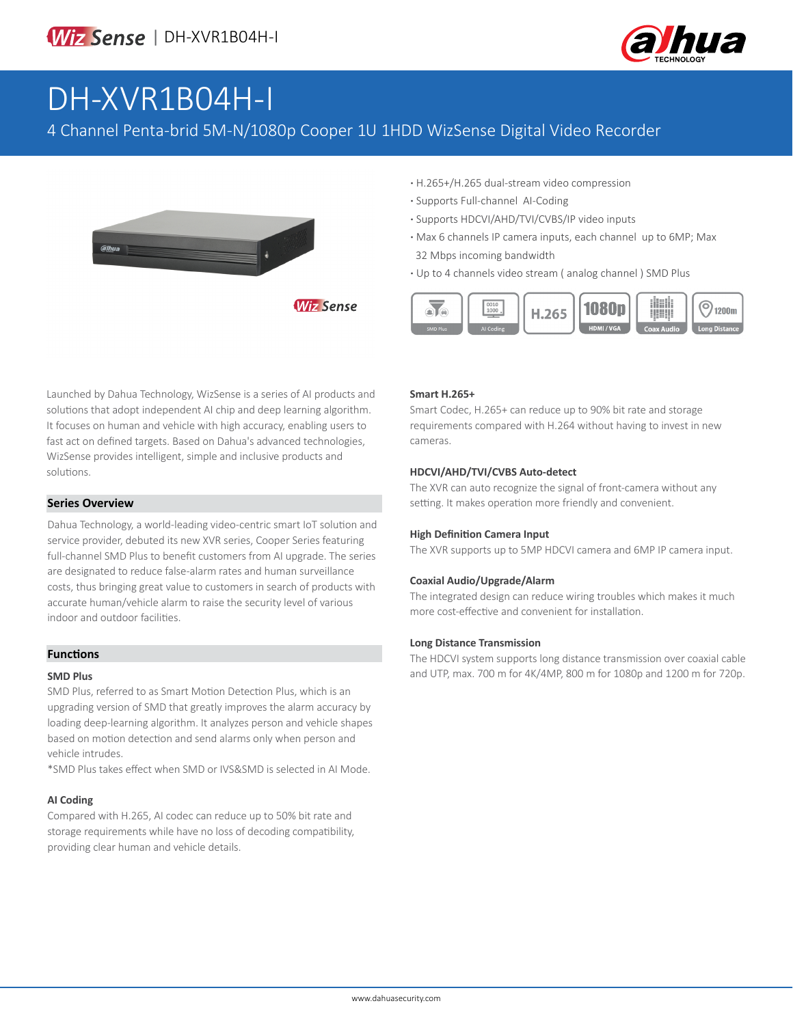

# DH-XVR1B04H-I

4 Channel Penta-brid 5M-N/1080p Cooper 1U 1HDD WizSense Digital Video Recorder

**Wiz Sense** 



**·** H.265+/H.265 dual-stream video compression

- **·** Supports Full-channel AI-Coding
- **·** Supports HDCVI/AHD/TVI/CVBS/IP video inputs
- **·** Max 6 channels IP camera inputs, each channel up to 6MP; Max 32 Mbps incoming bandwidth
- **·** Up to 4 channels video stream ( analog channel ) SMD Plus



Launched by Dahua Technology, WizSense is a series of AI products and solutions that adopt independent AI chip and deep learning algorithm. It focuses on human and vehicle with high accuracy, enabling users to fast act on defined targets. Based on Dahua's advanced technologies, WizSense provides intelligent, simple and inclusive products and solutions.

#### **Series Overview**

Dahua Technology, a world-leading video-centric smart IoT solution and service provider, debuted its new XVR series, Cooper Series featuring full-channel SMD Plus to benefit customers from AI upgrade. The series are designated to reduce false-alarm rates and human surveillance costs, thus bringing great value to customers in search of products with accurate human/vehicle alarm to raise the security level of various indoor and outdoor facilities.

### **Functions**

#### **SMD Plus**

SMD Plus, referred to as Smart Motion Detection Plus, which is an upgrading version of SMD that greatly improves the alarm accuracy by loading deep-learning algorithm. It analyzes person and vehicle shapes based on motion detection and send alarms only when person and vehicle intrudes.

\*SMD Plus takes effect when SMD or IVS&SMD is selected in AI Mode.

#### **AI Coding**

Compared with H.265, AI codec can reduce up to 50% bit rate and storage requirements while have no loss of decoding compatibility, providing clear human and vehicle details.

#### **Smart H.265+**

Smart Codec, H.265+ can reduce up to 90% bit rate and storage requirements compared with H.264 without having to invest in new cameras.

#### **HDCVI/AHD/TVI/CVBS Auto-detect**

The XVR can auto recognize the signal of front-camera without any setting. It makes operation more friendly and convenient.

#### **High Definition Camera Input**

The XVR supports up to 5MP HDCVI camera and 6MP IP camera input.

#### **Coaxial Audio/Upgrade/Alarm**

The integrated design can reduce wiring troubles which makes it much more cost-effective and convenient for installation.

#### **Long Distance Transmission**

The HDCVI system supports long distance transmission over coaxial cable and UTP, max. 700 m for 4K/4MP, 800 m for 1080p and 1200 m for 720p.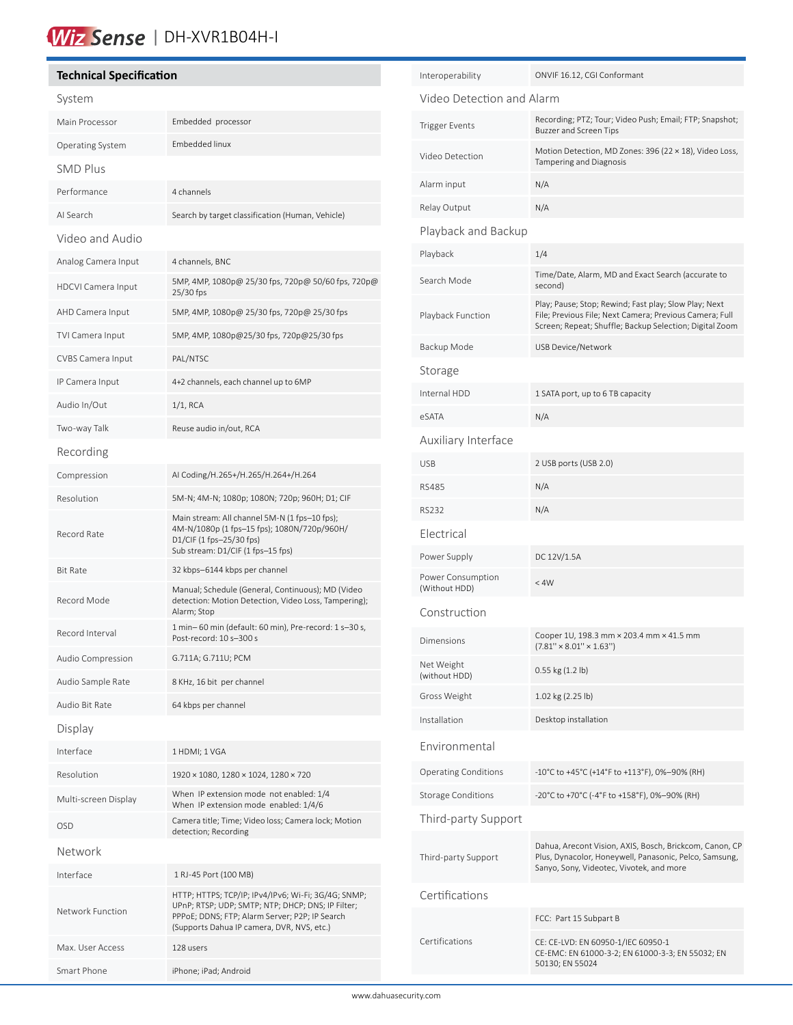### Wiz Sense | DH-XVR1B04H-I

#### **Technical Specification**

í

| System                    |                                                                                                                                                                                                          |  |
|---------------------------|----------------------------------------------------------------------------------------------------------------------------------------------------------------------------------------------------------|--|
| Main Processor            | Embedded processor                                                                                                                                                                                       |  |
| Operating System          | Embedded linux                                                                                                                                                                                           |  |
| <b>SMD Plus</b>           |                                                                                                                                                                                                          |  |
| Performance               | 4 channels                                                                                                                                                                                               |  |
| AI Search                 | Search by target classification (Human, Vehicle)                                                                                                                                                         |  |
| Video and Audio           |                                                                                                                                                                                                          |  |
| Analog Camera Input       | 4 channels, BNC                                                                                                                                                                                          |  |
| <b>HDCVI Camera Input</b> | 5MP, 4MP, 1080p@ 25/30 fps, 720p@ 50/60 fps, 720p@<br>25/30 fps                                                                                                                                          |  |
| AHD Camera Input          | 5MP, 4MP, 1080p@ 25/30 fps, 720p@ 25/30 fps                                                                                                                                                              |  |
| TVI Camera Input          | 5MP, 4MP, 1080p@25/30 fps, 720p@25/30 fps                                                                                                                                                                |  |
| CVBS Camera Input         | PAL/NTSC                                                                                                                                                                                                 |  |
| IP Camera Input           | 4+2 channels, each channel up to 6MP                                                                                                                                                                     |  |
| Audio In/Out              | $1/1$ , RCA                                                                                                                                                                                              |  |
| Two-way Talk              | Reuse audio in/out, RCA                                                                                                                                                                                  |  |
| Recording                 |                                                                                                                                                                                                          |  |
| Compression               | AI Coding/H.265+/H.265/H.264+/H.264                                                                                                                                                                      |  |
| Resolution                | 5M-N; 4M-N; 1080p; 1080N; 720p; 960H; D1; CIF                                                                                                                                                            |  |
| Record Rate               | Main stream: All channel 5M-N (1 fps-10 fps);<br>4M-N/1080p (1 fps-15 fps); 1080N/720p/960H/<br>D1/CIF (1 fps-25/30 fps)<br>Sub stream: D1/CIF (1 fps-15 fps)                                            |  |
| <b>Bit Rate</b>           | 32 kbps-6144 kbps per channel                                                                                                                                                                            |  |
| Record Mode               | Manual; Schedule (General, Continuous); MD (Video<br>detection: Motion Detection, Video Loss, Tampering);<br>Alarm; Stop                                                                                 |  |
| Record Interval           | 1 min-60 min (default: 60 min), Pre-record: 1 s-30 s,<br>Post-record: 10 s-300 s                                                                                                                         |  |
| Audio Compression         | G.711A; G.711U; PCM                                                                                                                                                                                      |  |
| Audio Sample Rate         | 8 KHz, 16 bit per channel                                                                                                                                                                                |  |
| Audio Bit Rate            | 64 kbps per channel                                                                                                                                                                                      |  |
| Display                   |                                                                                                                                                                                                          |  |
| Interface                 | 1 HDMI; 1 VGA                                                                                                                                                                                            |  |
| Resolution                | 1920 × 1080, 1280 × 1024, 1280 × 720                                                                                                                                                                     |  |
| Multi-screen Display      | When IP extension mode not enabled: 1/4<br>When IP extension mode enabled: 1/4/6                                                                                                                         |  |
| OSD                       | Camera title; Time; Video loss; Camera lock; Motion<br>detection; Recording                                                                                                                              |  |
| Network                   |                                                                                                                                                                                                          |  |
| Interface                 | 1 RJ-45 Port (100 MB)                                                                                                                                                                                    |  |
| Network Function          | HTTP; HTTPS; TCP/IP; IPv4/IPv6; Wi-Fi; 3G/4G; SNMP;<br>UPnP; RTSP; UDP; SMTP; NTP; DHCP; DNS; IP Filter;<br>PPPoE; DDNS; FTP; Alarm Server; P2P; IP Search<br>(Supports Dahua IP camera, DVR, NVS, etc.) |  |
| Max. User Access          | 128 users                                                                                                                                                                                                |  |
| Smart Phone               | iPhone; iPad; Android                                                                                                                                                                                    |  |

| Interoperability                   | ONVIF 16.12, CGI Conformant                                                                                                                                                 |  |  |
|------------------------------------|-----------------------------------------------------------------------------------------------------------------------------------------------------------------------------|--|--|
| Video Detection and Alarm          |                                                                                                                                                                             |  |  |
| <b>Trigger Events</b>              | Recording; PTZ; Tour; Video Push; Email; FTP; Snapshot;<br><b>Buzzer and Screen Tips</b>                                                                                    |  |  |
| Video Detection                    | Motion Detection, MD Zones: 396 (22 × 18), Video Loss,<br><b>Tampering and Diagnosis</b>                                                                                    |  |  |
| Alarm input                        | N/A                                                                                                                                                                         |  |  |
| Relay Output                       | N/A                                                                                                                                                                         |  |  |
| Playback and Backup                |                                                                                                                                                                             |  |  |
| Playback                           | 1/4                                                                                                                                                                         |  |  |
| Search Mode                        | Time/Date, Alarm, MD and Exact Search (accurate to<br>second)                                                                                                               |  |  |
| Playback Function                  | Play; Pause; Stop; Rewind; Fast play; Slow Play; Next<br>File; Previous File; Next Camera; Previous Camera; Full<br>Screen; Repeat; Shuffle; Backup Selection; Digital Zoom |  |  |
| Backup Mode                        | USB Device/Network                                                                                                                                                          |  |  |
| Storage                            |                                                                                                                                                                             |  |  |
| Internal HDD                       | 1 SATA port, up to 6 TB capacity                                                                                                                                            |  |  |
| eSATA                              | N/A                                                                                                                                                                         |  |  |
| Auxiliary Interface                |                                                                                                                                                                             |  |  |
| <b>USB</b>                         | 2 USB ports (USB 2.0)                                                                                                                                                       |  |  |
| <b>RS485</b>                       | N/A                                                                                                                                                                         |  |  |
| <b>RS232</b>                       | N/A                                                                                                                                                                         |  |  |
| Electrical                         |                                                                                                                                                                             |  |  |
| Power Supply                       | DC 12V/1.5A                                                                                                                                                                 |  |  |
| Power Consumption<br>(Without HDD) | < 4W                                                                                                                                                                        |  |  |
| Construction                       |                                                                                                                                                                             |  |  |
| Dimensions                         | Cooper 1U, 198.3 mm × 203.4 mm × 41.5 mm<br>$(7.81'' \times 8.01'' \times 1.63'')$                                                                                          |  |  |
| Net Weight<br>(without HDD)        | 0.55 kg (1.2 lb)                                                                                                                                                            |  |  |
| Gross Weight                       | 1.02 kg (2.25 lb)                                                                                                                                                           |  |  |
| Installation                       | Desktop installation                                                                                                                                                        |  |  |
| Environmental                      |                                                                                                                                                                             |  |  |
| <b>Operating Conditions</b>        | -10°C to +45°C (+14°F to +113°F), 0%-90% (RH)                                                                                                                               |  |  |
| <b>Storage Conditions</b>          | -20°C to +70°C (-4°F to +158°F), 0%-90% (RH)                                                                                                                                |  |  |
| Third-party Support                |                                                                                                                                                                             |  |  |
| Third-party Support                | Dahua, Arecont Vision, AXIS, Bosch, Brickcom, Canon, CP<br>Plus, Dynacolor, Honeywell, Panasonic, Pelco, Samsung,<br>Sanyo, Sony, Videotec, Vivotek, and more               |  |  |
| Certifications                     |                                                                                                                                                                             |  |  |
|                                    | FCC: Part 15 Subpart B                                                                                                                                                      |  |  |
| Certifications                     | CE: CE-LVD: EN 60950-1/IEC 60950-1<br>CE-EMC: EN 61000-3-2; EN 61000-3-3; EN 55032; EN<br>50130; EN 55024                                                                   |  |  |